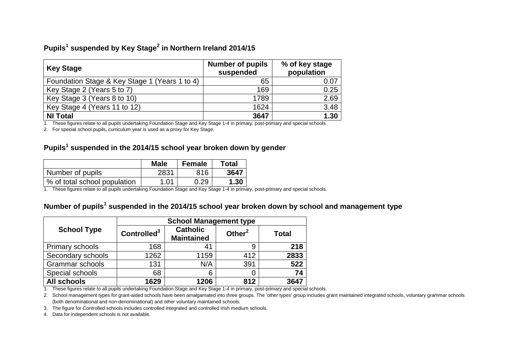## **Pupils<sup>1</sup> suspended by Key Stage<sup>2</sup> in Northern Ireland 2014/15**

| <b>Key Stage</b>                              | <b>Number of pupils</b><br>suspended | % of key stage<br>population |
|-----------------------------------------------|--------------------------------------|------------------------------|
| Foundation Stage & Key Stage 1 (Years 1 to 4) | 65                                   | 0.07                         |
| Key Stage 2 (Years 5 to 7)                    | 169                                  | 0.25                         |
| Key Stage 3 (Years 8 to 10)                   | 1789                                 | 2.69                         |
| Key Stage 4 (Years 11 to 12)                  | 1624                                 | 3.48                         |
| <b>NI Total</b>                               | 3647                                 | 1.30                         |

1. These figures relate to all pupils undertaking Foundation Stage and Key Stage 1-4 in primary, post-primary and special schools.

2. For special school pupils, curriculum year is used as a proxy for Key Stage.

## **Pupils<sup>1</sup> suspended in the 2014/15 school year broken down by gender**

|                              | <b>Male</b> | <b>Female</b> | <b>Total</b> |
|------------------------------|-------------|---------------|--------------|
| Number of pupils             | 2831        | 816           | 3647         |
| % of total school population | 1.01        | 0.29          | 1.30         |

1. These figures relate to all pupils undertaking Foundation Stage and Key Stage 1-4 in primary, post-primary and special schools.

## **Number of pupils<sup>1</sup> suspended in the 2014/15 school year broken down by school and management type**

|                        | <b>School Management type</b> |                                      |           |              |  |
|------------------------|-------------------------------|--------------------------------------|-----------|--------------|--|
| <b>School Type</b>     | Controlled <sup>3</sup>       | <b>Catholic</b><br><b>Maintained</b> | Other $2$ | <b>Total</b> |  |
| Primary schools        | 168                           | 41                                   | 9         | 218          |  |
| Secondary schools      | 1262                          | 1159                                 | 412       | 2833         |  |
| <b>Grammar schools</b> | 131                           | N/A                                  | 391       | 522          |  |
| Special schools        | 68                            | 6                                    |           | 74           |  |
| <b>All schools</b>     | 1629                          | 1206                                 | 812       | 3647         |  |

1. These figures relate to all pupils undertaking Foundation Stage and Key Stage 1-4 in primary, post-primary and special schools.

2. School management types for grant-aided schools have been amalgamated into three groups. The 'other types' group includes grant maintained integrated schools, voluntary grammar schools (both denominational and non-denominational) and other voluntary maintained schools.

3. The figure for Controlled schools includes controlled integrated and controlled Irish medium schools.

4. Data for independent schools is not available.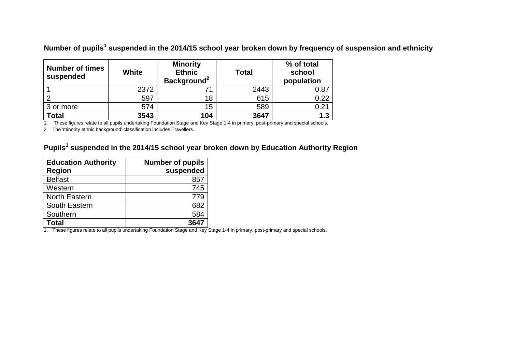**Number of pupils<sup>1</sup> suspended in the 2014/15 school year broken down by frequency of suspension and ethnicity**

| <b>Number of times</b><br>suspended | <b>White</b> | <b>Minority</b><br><b>Ethnic</b><br>Background <sup>2</sup> | <b>Total</b> | % of total<br>school<br>population |
|-------------------------------------|--------------|-------------------------------------------------------------|--------------|------------------------------------|
|                                     | 2372         |                                                             | 2443         | 0.87                               |
|                                     | 597          | 18                                                          | 615          | 0.22                               |
| 3 or more                           | 574          | 15                                                          | 589          | 0.21                               |
| <b>Total</b>                        | 3543         | 104                                                         | 3647         | 1.3                                |

1. These figures relate to all pupils undertaking Foundation Stage and Key Stage 1-4 in primary, post-primary and special schools.

2. The 'minority ethnic background' classification includes Travellers.

## **Pupils<sup>1</sup> suspended in the 2014/15 school year broken down by Education Authority Region**

| <b>Education Authority</b> | <b>Number of pupils</b> |
|----------------------------|-------------------------|
| <b>Region</b>              | suspended               |
| <b>Belfast</b>             | 857                     |
| Western                    | 745                     |
| <b>North Eastern</b>       | 779                     |
| South Eastern              | 682                     |
| Southern                   | 584                     |
| Total                      | 3647                    |

1. These figures relate to all pupils undertaking Foundation Stage and Key Stage 1-4 in primary, post-primary and special schools.